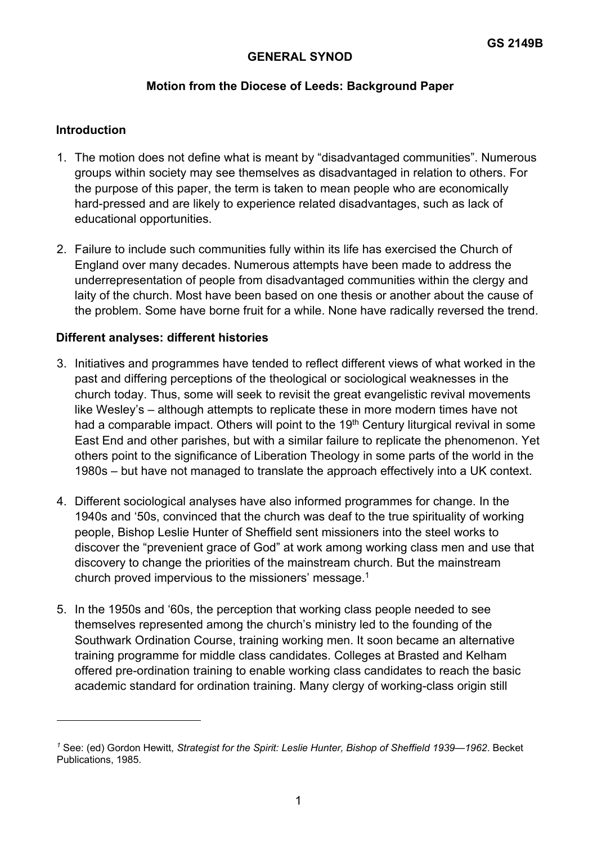## **GENERAL SYNOD**

# **Motion from the Diocese of Leeds: Background Paper**

### **Introduction**

- 1. The motion does not define what is meant by "disadvantaged communities". Numerous groups within society may see themselves as disadvantaged in relation to others. For the purpose of this paper, the term is taken to mean people who are economically hard-pressed and are likely to experience related disadvantages, such as lack of educational opportunities.
- 2. Failure to include such communities fully within its life has exercised the Church of England over many decades. Numerous attempts have been made to address the underrepresentation of people from disadvantaged communities within the clergy and laity of the church. Most have been based on one thesis or another about the cause of the problem. Some have borne fruit for a while. None have radically reversed the trend.

#### **Different analyses: different histories**

- 3. Initiatives and programmes have tended to reflect different views of what worked in the past and differing perceptions of the theological or sociological weaknesses in the church today. Thus, some will seek to revisit the great evangelistic revival movements like Wesley's – although attempts to replicate these in more modern times have not had a comparable impact. Others will point to the  $19<sup>th</sup>$  Century liturgical revival in some East End and other parishes, but with a similar failure to replicate the phenomenon. Yet others point to the significance of Liberation Theology in some parts of the world in the 1980s – but have not managed to translate the approach effectively into a UK context.
- 4. Different sociological analyses have also informed programmes for change. In the 1940s and '50s, convinced that the church was deaf to the true spirituality of working people, Bishop Leslie Hunter of Sheffield sent missioners into the steel works to discover the "prevenient grace of God" at work among working class men and use that discovery to change the priorities of the mainstream church. But the mainstream church proved impervious to the missioners' message.1
- 5. In the 1950s and '60s, the perception that working class people needed to see themselves represented among the church's ministry led to the founding of the Southwark Ordination Course, training working men. It soon became an alternative training programme for middle class candidates. Colleges at Brasted and Kelham offered pre-ordination training to enable working class candidates to reach the basic academic standard for ordination training. Many clergy of working-class origin still

*<sup>1</sup>* See: (ed) Gordon Hewitt, *Strategist for the Spirit: Leslie Hunter, Bishop of Sheffield 1939—1962*. Becket Publications, 1985.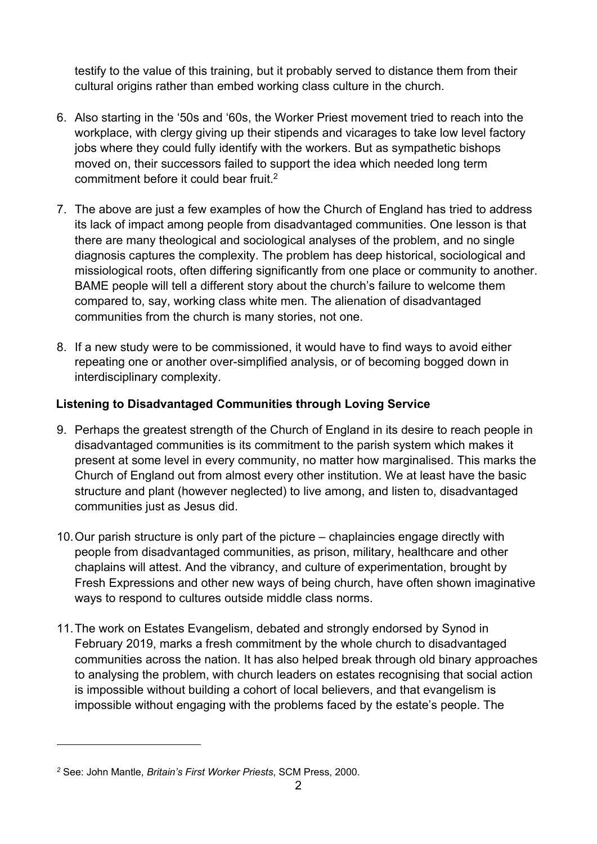testify to the value of this training, but it probably served to distance them from their cultural origins rather than embed working class culture in the church.

- 6. Also starting in the '50s and '60s, the Worker Priest movement tried to reach into the workplace, with clergy giving up their stipends and vicarages to take low level factory jobs where they could fully identify with the workers. But as sympathetic bishops moved on, their successors failed to support the idea which needed long term commitment before it could bear fruit.2
- 7. The above are just a few examples of how the Church of England has tried to address its lack of impact among people from disadvantaged communities. One lesson is that there are many theological and sociological analyses of the problem, and no single diagnosis captures the complexity. The problem has deep historical, sociological and missiological roots, often differing significantly from one place or community to another. BAME people will tell a different story about the church's failure to welcome them compared to, say, working class white men. The alienation of disadvantaged communities from the church is many stories, not one.
- 8. If a new study were to be commissioned, it would have to find ways to avoid either repeating one or another over-simplified analysis, or of becoming bogged down in interdisciplinary complexity.

# **Listening to Disadvantaged Communities through Loving Service**

- 9. Perhaps the greatest strength of the Church of England in its desire to reach people in disadvantaged communities is its commitment to the parish system which makes it present at some level in every community, no matter how marginalised. This marks the Church of England out from almost every other institution. We at least have the basic structure and plant (however neglected) to live among, and listen to, disadvantaged communities just as Jesus did.
- 10. Our parish structure is only part of the picture chaplaincies engage directly with people from disadvantaged communities, as prison, military, healthcare and other chaplains will attest. And the vibrancy, and culture of experimentation, brought by Fresh Expressions and other new ways of being church, have often shown imaginative ways to respond to cultures outside middle class norms.
- 11. The work on Estates Evangelism, debated and strongly endorsed by Synod in February 2019, marks a fresh commitment by the whole church to disadvantaged communities across the nation. It has also helped break through old binary approaches to analysing the problem, with church leaders on estates recognising that social action is impossible without building a cohort of local believers, and that evangelism is impossible without engaging with the problems faced by the estate's people. The

*<sup>2</sup>* See: John Mantle, *Britain's First Worker Priests*, SCM Press, 2000.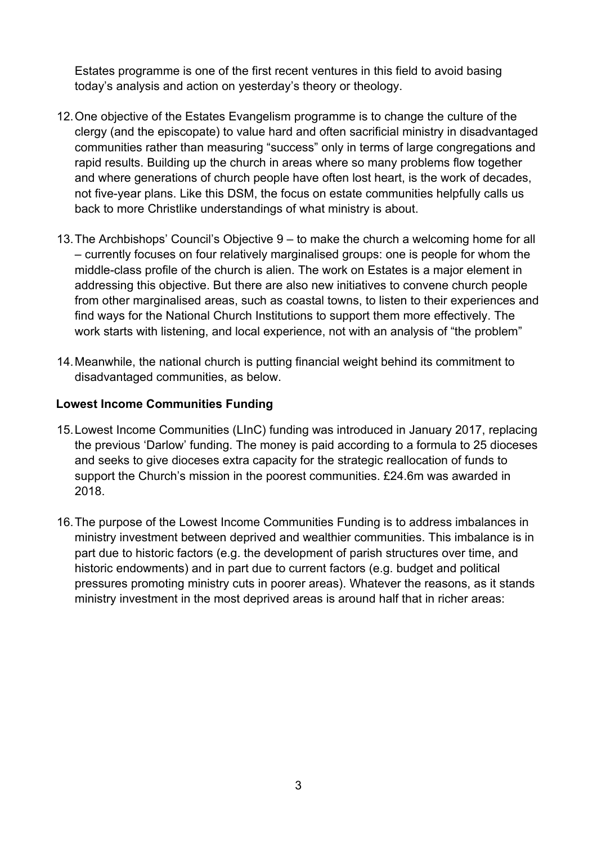Estates programme is one of the first recent ventures in this field to avoid basing today's analysis and action on yesterday's theory or theology.

- 12. One objective of the Estates Evangelism programme is to change the culture of the clergy (and the episcopate) to value hard and often sacrificial ministry in disadvantaged communities rather than measuring "success" only in terms of large congregations and rapid results. Building up the church in areas where so many problems flow together and where generations of church people have often lost heart, is the work of decades, not five-year plans. Like this DSM, the focus on estate communities helpfully calls us back to more Christlike understandings of what ministry is about.
- 13. The Archbishops' Council's Objective 9 to make the church a welcoming home for all – currently focuses on four relatively marginalised groups: one is people for whom the middle-class profile of the church is alien. The work on Estates is a major element in addressing this objective. But there are also new initiatives to convene church people from other marginalised areas, such as coastal towns, to listen to their experiences and find ways for the National Church Institutions to support them more effectively. The work starts with listening, and local experience, not with an analysis of "the problem"
- 14. Meanwhile, the national church is putting financial weight behind its commitment to disadvantaged communities, as below.

# **Lowest Income Communities Funding**

- 15. Lowest Income Communities (LInC) funding was introduced in January 2017, replacing the previous 'Darlow' funding. The money is paid according to a formula to 25 dioceses and seeks to give dioceses extra capacity for the strategic reallocation of funds to support the Church's mission in the poorest communities. £24.6m was awarded in 2018.
- 16. The purpose of the Lowest Income Communities Funding is to address imbalances in ministry investment between deprived and wealthier communities. This imbalance is in part due to historic factors (e.g. the development of parish structures over time, and historic endowments) and in part due to current factors (e.g. budget and political pressures promoting ministry cuts in poorer areas). Whatever the reasons, as it stands ministry investment in the most deprived areas is around half that in richer areas: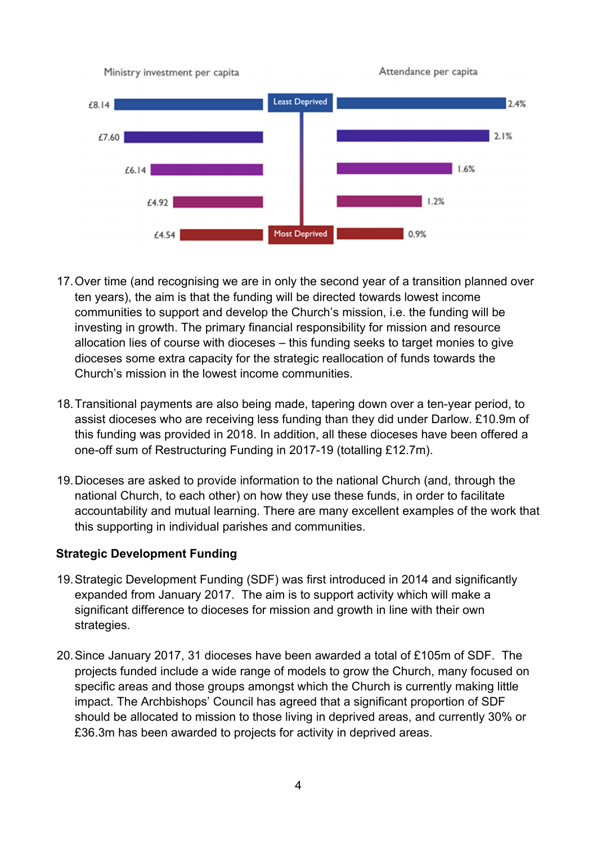

- 17. Over time (and recognising we are in only the second year of a transition planned over ten years), the aim is that the funding will be directed towards lowest income communities to support and develop the Church's mission, i.e. the funding will be investing in growth. The primary financial responsibility for mission and resource allocation lies of course with dioceses – this funding seeks to target monies to give dioceses some extra capacity for the strategic reallocation of funds towards the Church's mission in the lowest income communities.
- 18. Transitional payments are also being made, tapering down over a ten-year period, to assist dioceses who are receiving less funding than they did under Darlow. £10.9m of this funding was provided in 2018. In addition, all these dioceses have been offered a one-off sum of Restructuring Funding in 2017-19 (totalling £12.7m).
- 19. Dioceses are asked to provide information to the national Church (and, through the national Church, to each other) on how they use these funds, in order to facilitate accountability and mutual learning. There are many excellent examples of the work that this supporting in individual parishes and communities.

## **Strategic Development Funding**

- 19. Strategic Development Funding (SDF) was first introduced in 2014 and significantly expanded from January 2017. The aim is to support activity which will make a significant difference to dioceses for mission and growth in line with their own strategies.
- 20. Since January 2017, 31 dioceses have been awarded a total of £105m of SDF. The projects funded include a wide range of models to grow the Church, many focused on specific areas and those groups amongst which the Church is currently making little impact. The Archbishops' Council has agreed that a significant proportion of SDF should be allocated to mission to those living in deprived areas, and currently 30% or £36.3m has been awarded to projects for activity in deprived areas.